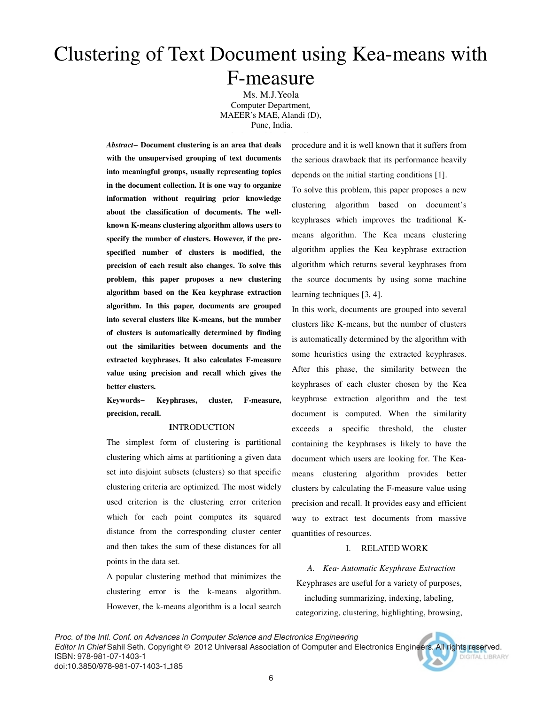# Clustering of Text Document using Kea-means with F-measure

Ms. M.J.Yeola Computer Department*,*  MAEER's MAE, Alandi (D), Pune, India.

*Abstract−* **Document clustering is an area that deals with the unsupervised grouping of text documents into meaningful groups, usually representing topics in the document collection. It is one way to organize information without requiring prior knowledge about the classification of documents. The wellknown K-means clustering algorithm allows users to specify the number of clusters. However, if the prespecified number of clusters is modified, the precision of each result also changes. To solve this problem, this paper proposes a new clustering algorithm based on the Kea keyphrase extraction algorithm. In this paper, documents are grouped into several clusters like K-means, but the number of clusters is automatically determined by finding out the similarities between documents and the extracted keyphrases. It also calculates F-measure value using precision and recall which gives the better clusters.** 

**Keywords− Keyphrases, cluster, F-measure, precision, recall.** 

### **I**NTRODUCTION

The simplest form of clustering is partitional clustering which aims at partitioning a given data set into disjoint subsets (clusters) so that specific clustering criteria are optimized. The most widely used criterion is the clustering error criterion which for each point computes its squared distance from the corresponding cluster center and then takes the sum of these distances for all points in the data set.

A popular clustering method that minimizes the clustering error is the k-means algorithm. However, the k-means algorithm is a local search procedure and it is well known that it suffers from the serious drawback that its performance heavily depends on the initial starting conditions [1]. To solve this problem, this paper proposes a new clustering algorithm based on document's keyphrases which improves the traditional Kmeans algorithm. The Kea means clustering algorithm applies the Kea keyphrase extraction algorithm which returns several keyphrases from the source documents by using some machine learning techniques [3, 4].

In this work, documents are grouped into several clusters like K-means, but the number of clusters is automatically determined by the algorithm with some heuristics using the extracted keyphrases. After this phase, the similarity between the keyphrases of each cluster chosen by the Kea keyphrase extraction algorithm and the test document is computed. When the similarity exceeds a specific threshold, the cluster containing the keyphrases is likely to have the document which users are looking for. The Keameans clustering algorithm provides better clusters by calculating the F-measure value using precision and recall. It provides easy and efficient way to extract test documents from massive quantities of resources.

# I. RELATED WORK

# *A. Kea- Automatic Keyphrase Extraction*

Keyphrases are useful for a variety of purposes, including summarizing, indexing, labeling, categorizing, clustering, highlighting, browsing,

*Proc. of the Intl. Conf. on Advances in Computer Science and Electronics Engineering Editor In Chief* Sahil Seth. Copyright © 2012 Universal Association of Computer and Electronics Engineers. All rights reserved. ISBN: 978-981-07-1403-1 DIGITAL LIBRARY doi:10.3850/978-981-07-1403-1 185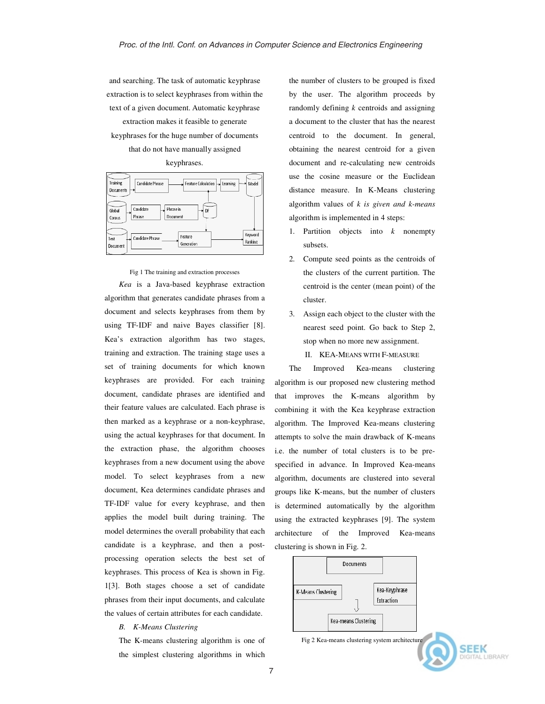and searching. The task of automatic keyphrase extraction is to select keyphrases from within the text of a given document. Automatic keyphrase extraction makes it feasible to generate keyphrases for the huge number of documents that do not have manually assigned

keyphrases.



Fig 1 The training and extraction processes

*Kea* is a Java-based keyphrase extraction algorithm that generates candidate phrases from a document and selects keyphrases from them by using TF-IDF and naive Bayes classifier [8]. Kea's extraction algorithm has two stages, training and extraction. The training stage uses a set of training documents for which known keyphrases are provided. For each training document, candidate phrases are identified and their feature values are calculated. Each phrase is then marked as a keyphrase or a non-keyphrase, using the actual keyphrases for that document. In the extraction phase, the algorithm chooses keyphrases from a new document using the above model. To select keyphrases from a new document, Kea determines candidate phrases and TF-IDF value for every keyphrase, and then applies the model built during training. The model determines the overall probability that each candidate is a keyphrase, and then a postprocessing operation selects the best set of keyphrases. This process of Kea is shown in Fig. 1[3]. Both stages choose a set of candidate phrases from their input documents, and calculate the values of certain attributes for each candidate.

#### *B. K-Means Clustering*

The K-means clustering algorithm is one of the simplest clustering algorithms in which the number of clusters to be grouped is fixed by the user. The algorithm proceeds by randomly defining *k* centroids and assigning a document to the cluster that has the nearest centroid to the document. In general, obtaining the nearest centroid for a given document and re-calculating new centroids use the cosine measure or the Euclidean distance measure. In K-Means clustering algorithm values of *k is given and k-means*  algorithm is implemented in 4 steps:

- 1. Partition objects into *k* nonempty subsets.
- 2. Compute seed points as the centroids of the clusters of the current partition. The centroid is the center (mean point) of the cluster.
- 3. Assign each object to the cluster with the nearest seed point. Go back to Step 2, stop when no more new assignment.
	- II. KEA-MEANS WITH F-MEASURE

The Improved Kea-means clustering algorithm is our proposed new clustering method that improves the K-means algorithm by combining it with the Kea keyphrase extraction algorithm. The Improved Kea-means clustering attempts to solve the main drawback of K-means i.e. the number of total clusters is to be prespecified in advance. In Improved Kea-means algorithm, documents are clustered into several groups like K-means, but the number of clusters is determined automatically by the algorithm using the extracted keyphrases [9]. The system architecture of the Improved Kea-means clustering is shown in Fig. 2.



Fig 2 Kea-means clustering system architecture

**SEEK** 

AL LIBRARY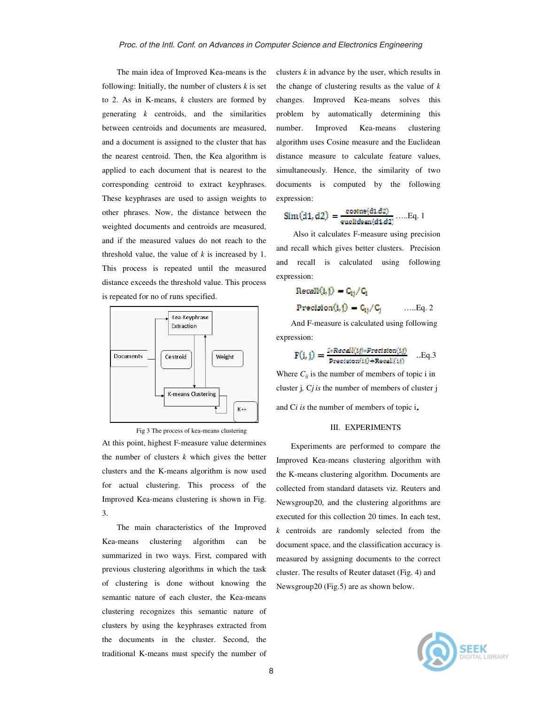The main idea of Improved Kea-means is the following: Initially, the number of clusters *k* is set to 2. As in K-means, *k* clusters are formed by generating *k* centroids, and the similarities between centroids and documents are measured, and a document is assigned to the cluster that has the nearest centroid. Then, the Kea algorithm is applied to each document that is nearest to the corresponding centroid to extract keyphrases. These keyphrases are used to assign weights to other phrases. Now, the distance between the weighted documents and centroids are measured, and if the measured values do not reach to the threshold value, the value of *k* is increased by 1. This process is repeated until the measured distance exceeds the threshold value. This process is repeated for no of runs specified.





At this point, highest F-measure value determines the number of clusters *k* which gives the better clusters and the K-means algorithm is now used for actual clustering. This process of the Improved Kea-means clustering is shown in Fig. 3.

The main characteristics of the Improved Kea-means clustering algorithm can be summarized in two ways. First, compared with previous clustering algorithms in which the task of clustering is done without knowing the semantic nature of each cluster, the Kea-means clustering recognizes this semantic nature of clusters by using the keyphrases extracted from the documents in the cluster. Second, the traditional K-means must specify the number of

clusters *k* in advance by the user, which results in the change of clustering results as the value of *k*  changes. Improved Kea-means solves this problem by automatically determining this number. Improved Kea-means clustering algorithm uses Cosine measure and the Euclidean distance measure to calculate feature values, simultaneously. Hence, the similarity of two documents is computed by the following expression:

$$
\text{Sim}(d1, d2) = \frac{\text{cosine}(d1, d2)}{\text{euclidean}(d1, d2)} \dots \text{Eq. 1}
$$

 Also it calculates F-measure using precision and recall which gives better clusters. Precision and recall is calculated using following expression:

$$
Recall(i,j) = C_{ij}/C_i
$$
  
Recall and if

**Precision(i, j)**  $\mathbf{C}_{ij}/\mathbf{C}_{j}$  ......Eq. 2

And F-measure is calculated using following expression:

$$
F(i, j) = \frac{2*Recall(tj)*Preclston(tj)}{Preclston(ti) + Recall(ti)} \quad \text{..}Eq.3
$$

Where  $C_{ij}$  is the number of members of topic i in cluster j*,* C*j is* the number of members of cluster j and C*i is* the number of members of topic i

#### III. EXPERIMENTS

Experiments are performed to compare the Improved Kea-means clustering algorithm with the K-means clustering algorithm. Documents are collected from standard datasets viz. Reuters and Newsgroup20, and the clustering algorithms are executed for this collection 20 times. In each test, *k* centroids are randomly selected from the document space, and the classification accuracy is measured by assigning documents to the correct cluster. The results of Reuter dataset (Fig. 4) and Newsgroup20 (Fig.5) are as shown below.